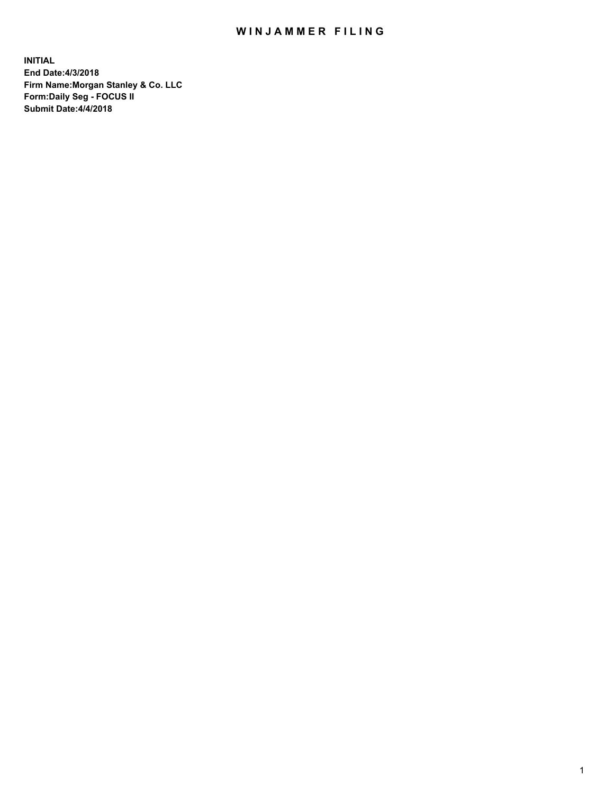# WIN JAMMER FILING

**INITIAL End Date:4/3/2018 Firm Name:Morgan Stanley & Co. LLC Form:Daily Seg - FOCUS II Submit Date:4/4/2018**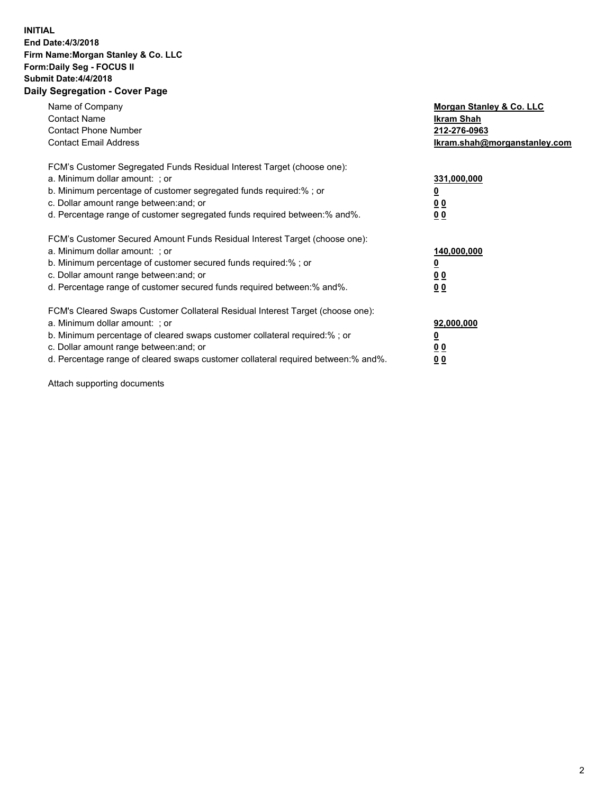### **INITIAL End Date:4/3/2018 Firm Name:Morgan Stanley & Co. LLC Form:Daily Seg - FOCUS II Submit Date:4/4/2018 Daily Segregation - Cover Page**

| Name of Company<br><b>Contact Name</b><br><b>Contact Phone Number</b><br><b>Contact Email Address</b>                                                                                                                                                                                                                          | Morgan Stanley & Co. LLC<br>Ikram Shah<br>212-276-0963<br>lkram.shah@morganstanley.com |
|--------------------------------------------------------------------------------------------------------------------------------------------------------------------------------------------------------------------------------------------------------------------------------------------------------------------------------|----------------------------------------------------------------------------------------|
| FCM's Customer Segregated Funds Residual Interest Target (choose one):<br>a. Minimum dollar amount: ; or<br>b. Minimum percentage of customer segregated funds required:%; or<br>c. Dollar amount range between: and; or<br>d. Percentage range of customer segregated funds required between: % and %.                        | 331,000,000<br>0 <sub>0</sub><br>00                                                    |
| FCM's Customer Secured Amount Funds Residual Interest Target (choose one):<br>a. Minimum dollar amount: ; or<br>b. Minimum percentage of customer secured funds required:%; or<br>c. Dollar amount range between: and; or<br>d. Percentage range of customer secured funds required between:% and%.                            | 140,000,000<br>0 <sub>0</sub><br>0 <sub>0</sub>                                        |
| FCM's Cleared Swaps Customer Collateral Residual Interest Target (choose one):<br>a. Minimum dollar amount: ; or<br>b. Minimum percentage of cleared swaps customer collateral required:% ; or<br>c. Dollar amount range between: and; or<br>d. Percentage range of cleared swaps customer collateral required between:% and%. | 92,000,000<br>0 <sub>0</sub><br>0 <sub>0</sub>                                         |

Attach supporting documents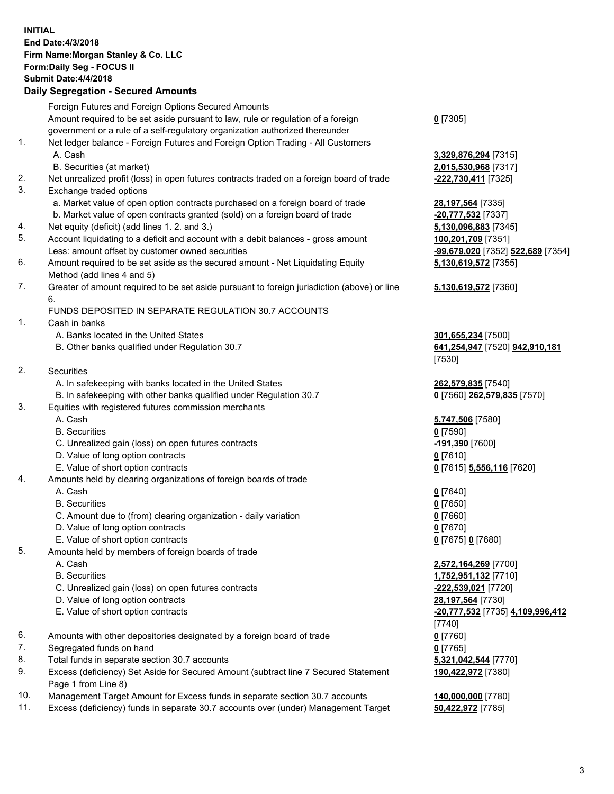#### **INITIAL End Date:4/3/2018 Firm Name:Morgan Stanley & Co. LLC Form:Daily Seg - FOCUS II Submit Date:4/4/2018 Daily Segregation - Secured Amounts**

Foreign Futures and Foreign Options Secured Amounts Amount required to be set aside pursuant to law, rule or regulation of a foreign government or a rule of a self-regulatory organization authorized thereunder 1. Net ledger balance - Foreign Futures and Foreign Option Trading - All Customers A. Cash **3,329,876,294** [7315] B. Securities (at market) **2,015,530,968** [7317] 2. Net unrealized profit (loss) in open futures contracts traded on a foreign board of trade **-222,730,411** [7325] 3. Exchange traded options a. Market value of open option contracts purchased on a foreign board of trade **28,197,564** [7335] b. Market value of open contracts granted (sold) on a foreign board of trade **-20,777,532** [7337] 4. Net equity (deficit) (add lines 1. 2. and 3.) **5,130,096,883** [7345] 5. Account liquidating to a deficit and account with a debit balances - gross amount **100,201,709** [7351] Less: amount offset by customer owned securities **-99,679,020** [7352] **522,689** [7354] 6. Amount required to be set aside as the secured amount - Net Liquidating Equity Method (add lines 4 and 5) 7. Greater of amount required to be set aside pursuant to foreign jurisdiction (above) or line 6. FUNDS DEPOSITED IN SEPARATE REGULATION 30.7 ACCOUNTS 1. Cash in banks A. Banks located in the United States **301,655,234** [7500] B. Other banks qualified under Regulation 30.7 **641,254,947** [7520] **942,910,181** 2. Securities A. In safekeeping with banks located in the United States **262,579,835** [7540] B. In safekeeping with other banks qualified under Regulation 30.7 **0** [7560] **262,579,835** [7570]

#### 3. Equities with registered futures commission merchants

- 
- 
- C. Unrealized gain (loss) on open futures contracts **-191,390** [7600]
- D. Value of long option contracts **0** [7610]
- E. Value of short option contracts **0** [7615] **5,556,116** [7620]
- 4. Amounts held by clearing organizations of foreign boards of trade
	-
	-
	- C. Amount due to (from) clearing organization daily variation **0** [7660]
	- D. Value of long option contracts **0** [7670]
	- E. Value of short option contracts **0** [7675] **0** [7680]
- 5. Amounts held by members of foreign boards of trade
	-
	-
	- C. Unrealized gain (loss) on open futures contracts **-222,539,021** [7720]
	- D. Value of long option contracts **28,197,564** [7730]
	-
- 6. Amounts with other depositories designated by a foreign board of trade **0** [7760]
- 7. Segregated funds on hand **0** [7765]
- 8. Total funds in separate section 30.7 accounts **5,321,042,544** [7770]
- 9. Excess (deficiency) Set Aside for Secured Amount (subtract line 7 Secured Statement Page 1 from Line 8)
- 10. Management Target Amount for Excess funds in separate section 30.7 accounts **140,000,000** [7780]
- 11. Excess (deficiency) funds in separate 30.7 accounts over (under) Management Target **50,422,972** [7785]

**0** [7305]

**5,130,619,572** [7355]

## **5,130,619,572** [7360]

[7530]

 A. Cash **5,747,506** [7580] B. Securities **0** [7590]

 A. Cash **0** [7640] B. Securities **0** [7650]

 A. Cash **2,572,164,269** [7700] B. Securities **1,752,951,132** [7710] E. Value of short option contracts **-20,777,532** [7735] **4,109,996,412** [7740] **190,422,972** [7380]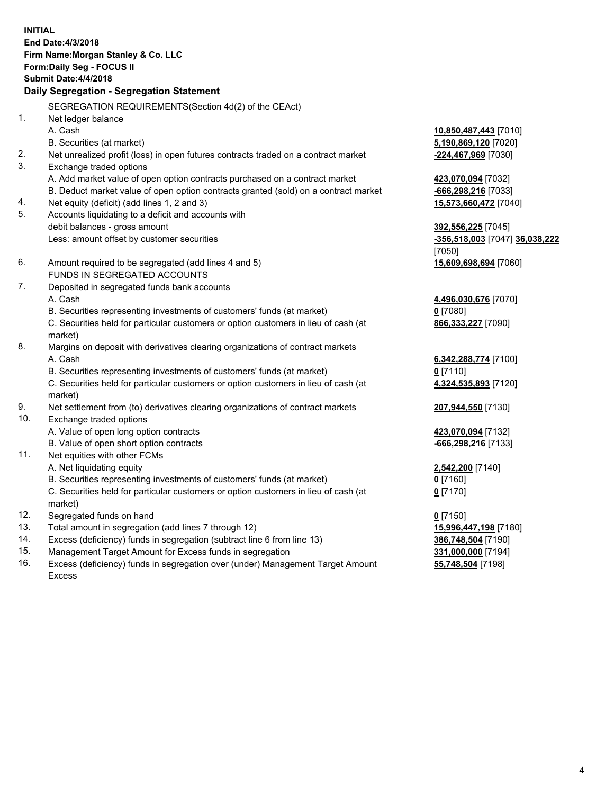**INITIAL End Date:4/3/2018 Firm Name:Morgan Stanley & Co. LLC Form:Daily Seg - FOCUS II Submit Date:4/4/2018 Daily Segregation - Segregation Statement** SEGREGATION REQUIREMENTS(Section 4d(2) of the CEAct) 1. Net ledger balance A. Cash **10,850,487,443** [7010] B. Securities (at market) **5,190,869,120** [7020] 2. Net unrealized profit (loss) in open futures contracts traded on a contract market **-224,467,969** [7030] 3. Exchange traded options A. Add market value of open option contracts purchased on a contract market **423,070,094** [7032] B. Deduct market value of open option contracts granted (sold) on a contract market **-666,298,216** [7033] 4. Net equity (deficit) (add lines 1, 2 and 3) **15,573,660,472** [7040] 5. Accounts liquidating to a deficit and accounts with debit balances - gross amount **392,556,225** [7045] Less: amount offset by customer securities **-356,518,003** [7047] **36,038,222** [7050] 6. Amount required to be segregated (add lines 4 and 5) **15,609,698,694** [7060] FUNDS IN SEGREGATED ACCOUNTS 7. Deposited in segregated funds bank accounts A. Cash **4,496,030,676** [7070] B. Securities representing investments of customers' funds (at market) **0** [7080] C. Securities held for particular customers or option customers in lieu of cash (at market) **866,333,227** [7090] 8. Margins on deposit with derivatives clearing organizations of contract markets A. Cash **6,342,288,774** [7100] B. Securities representing investments of customers' funds (at market) **0** [7110] C. Securities held for particular customers or option customers in lieu of cash (at market) **4,324,535,893** [7120] 9. Net settlement from (to) derivatives clearing organizations of contract markets **207,944,550** [7130] 10. Exchange traded options A. Value of open long option contracts **423,070,094** [7132] B. Value of open short option contracts **and the set of open short option contracts -666,298,216** [7133] 11. Net equities with other FCMs A. Net liquidating equity **2,542,200** [7140] B. Securities representing investments of customers' funds (at market) **0** [7160] C. Securities held for particular customers or option customers in lieu of cash (at market) **0** [7170] 12. Segregated funds on hand **0** [7150] 13. Total amount in segregation (add lines 7 through 12) **15,996,447,198** [7180] 14. Excess (deficiency) funds in segregation (subtract line 6 from line 13) **386,748,504** [7190]

- 15. Management Target Amount for Excess funds in segregation **331,000,000** [7194]
- 16. Excess (deficiency) funds in segregation over (under) Management Target Amount Excess

**55,748,504** [7198]